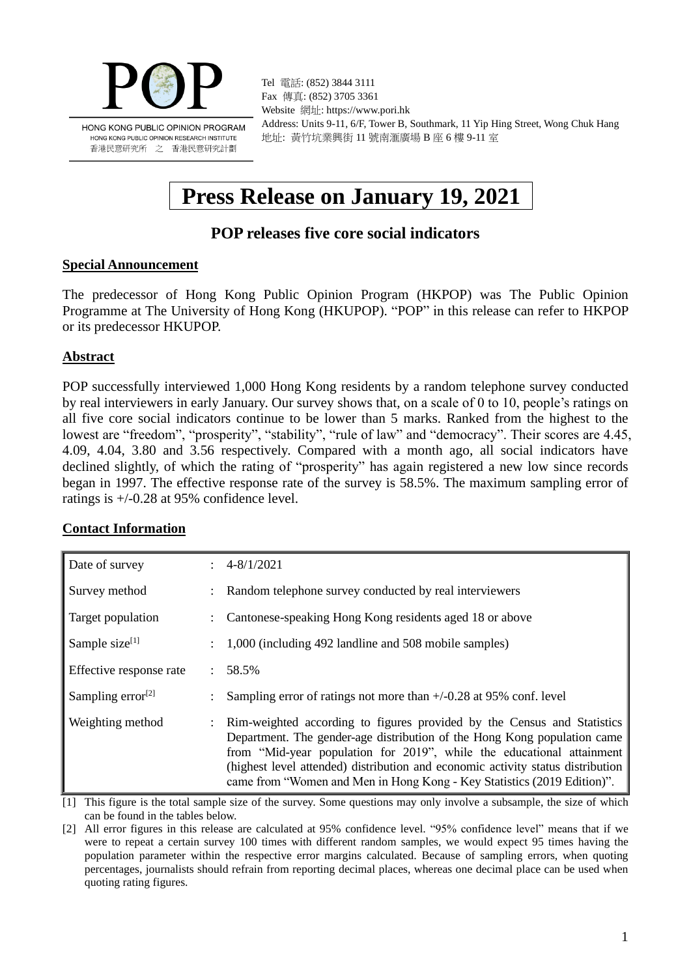

Tel 電話: (852) 3844 3111 Fax 傳真: (852) 3705 3361 Website 網址: https://www.pori.hk Address: Units 9-11, 6/F, Tower B, Southmark, 11 Yip Hing Street, Wong Chuk Hang 地址: 黃竹坑業興街 11 號南滙廣場 B 座 6 樓 9-11 室

# **Press Release on January 19, 2021**

# **POP releases five core social indicators**

#### **Special Announcement**

The predecessor of Hong Kong Public Opinion Program (HKPOP) was The Public Opinion Programme at The University of Hong Kong (HKUPOP). "POP" in this release can refer to HKPOP or its predecessor HKUPOP.

### **Abstract**

POP successfully interviewed 1,000 Hong Kong residents by a random telephone survey conducted by real interviewers in early January. Our survey shows that, on a scale of 0 to 10, people's ratings on all five core social indicators continue to be lower than 5 marks. Ranked from the highest to the lowest are "freedom", "prosperity", "stability", "rule of law" and "democracy". Their scores are 4.45, 4.09, 4.04, 3.80 and 3.56 respectively. Compared with a month ago, all social indicators have declined slightly, of which the rating of "prosperity" has again registered a new low since records began in 1997. The effective response rate of the survey is 58.5%. The maximum sampling error of ratings is +/-0.28 at 95% confidence level.

#### **Contact Information**

| Date of survey                |                           | $\div$ 4-8/1/2021                                                                                                                                                                                                                                                                                                                                                                          |
|-------------------------------|---------------------------|--------------------------------------------------------------------------------------------------------------------------------------------------------------------------------------------------------------------------------------------------------------------------------------------------------------------------------------------------------------------------------------------|
| Survey method                 |                           | Random telephone survey conducted by real interviewers                                                                                                                                                                                                                                                                                                                                     |
| Target population             |                           | Cantonese-speaking Hong Kong residents aged 18 or above                                                                                                                                                                                                                                                                                                                                    |
| Sample size <sup>[1]</sup>    |                           | 1,000 (including 492 landline and 508 mobile samples)                                                                                                                                                                                                                                                                                                                                      |
| Effective response rate       | $\mathcal{L}$             | 58.5%                                                                                                                                                                                                                                                                                                                                                                                      |
| Sampling error <sup>[2]</sup> |                           | Sampling error of ratings not more than $+/-0.28$ at 95% conf. level                                                                                                                                                                                                                                                                                                                       |
| Weighting method              | $\mathbb{R}^{\mathbb{Z}}$ | Rim-weighted according to figures provided by the Census and Statistics<br>Department. The gender-age distribution of the Hong Kong population came<br>from "Mid-year population for 2019", while the educational attainment<br>(highest level attended) distribution and economic activity status distribution<br>came from "Women and Men in Hong Kong - Key Statistics (2019 Edition)". |

[1] This figure is the total sample size of the survey. Some questions may only involve a subsample, the size of which can be found in the tables below.

[2] All error figures in this release are calculated at 95% confidence level. "95% confidence level" means that if we were to repeat a certain survey 100 times with different random samples, we would expect 95 times having the population parameter within the respective error margins calculated. Because of sampling errors, when quoting percentages, journalists should refrain from reporting decimal places, whereas one decimal place can be used when quoting rating figures.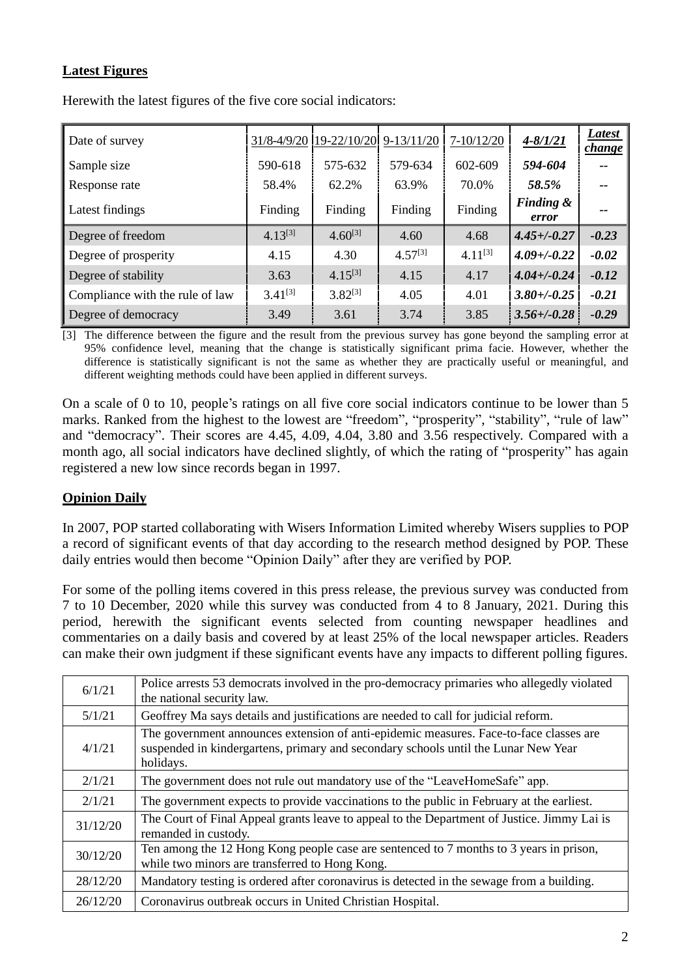## **Latest Figures**

| Date of survey                  |              | 31/8-4/9/20 19-22/10/20 | $9-13/11/20$ | 7-10/12/20   | $4 - 8/1/21$                  | <b>Latest</b><br><i>change</i> |
|---------------------------------|--------------|-------------------------|--------------|--------------|-------------------------------|--------------------------------|
| Sample size                     | 590-618      | 575-632                 | 579-634      | 602-609      | 594-604                       | --                             |
| Response rate                   | 58.4%        | 62.2%                   | 63.9%        | 70.0%        | 58.5%                         | --                             |
| Latest findings                 | Finding      | Finding                 | Finding      | Finding      | <b>Finding &amp;</b><br>error | --                             |
| Degree of freedom               | $4.13^{[3]}$ | $4.60^{[3]}$            | 4.60         | 4.68         | $4.45 + (-0.27)$              | $-0.23$                        |
| Degree of prosperity            | 4.15         | 4.30                    | $4.57^{[3]}$ | $4.11^{[3]}$ | $4.09 + (-0.22)$              | $-0.02$                        |
| Degree of stability             | 3.63         | $4.15^{[3]}$            | 4.15         | 4.17         | $4.04 + (-0.24)$              | $-0.12$                        |
| Compliance with the rule of law | $3.41^{[3]}$ | $3.82^{[3]}$            | 4.05         | 4.01         | $3.80 + (-0.25)$              | $-0.21$                        |
| Degree of democracy             | 3.49         | 3.61                    | 3.74         | 3.85         | $3.56 + (-0.28)$              | $-0.29$                        |

Herewith the latest figures of the five core social indicators:

[3] The difference between the figure and the result from the previous survey has gone beyond the sampling error at 95% confidence level, meaning that the change is statistically significant prima facie. However, whether the difference is statistically significant is not the same as whether they are practically useful or meaningful, and different weighting methods could have been applied in different surveys.

On a scale of 0 to 10, people's ratings on all five core social indicators continue to be lower than 5 marks. Ranked from the highest to the lowest are "freedom", "prosperity", "stability", "rule of law" and "democracy". Their scores are 4.45, 4.09, 4.04, 3.80 and 3.56 respectively. Compared with a month ago, all social indicators have declined slightly, of which the rating of "prosperity" has again registered a new low since records began in 1997.

## **Opinion Daily**

In 2007, POP started collaborating with Wisers Information Limited whereby Wisers supplies to POP a record of significant events of that day according to the research method designed by POP. These daily entries would then become "Opinion Daily" after they are verified by POP.

For some of the polling items covered in this press release, the previous survey was conducted from 7 to 10 December, 2020 while this survey was conducted from 4 to 8 January, 2021. During this period, herewith the significant events selected from counting newspaper headlines and commentaries on a daily basis and covered by at least 25% of the local newspaper articles. Readers can make their own judgment if these significant events have any impacts to different polling figures.

| 6/1/21   | Police arrests 53 democrats involved in the pro-democracy primaries who allegedly violated<br>the national security law.                                                                  |
|----------|-------------------------------------------------------------------------------------------------------------------------------------------------------------------------------------------|
| 5/1/21   | Geoffrey Ma says details and justifications are needed to call for judicial reform.                                                                                                       |
| 4/1/21   | The government announces extension of anti-epidemic measures. Face-to-face classes are<br>suspended in kindergartens, primary and secondary schools until the Lunar New Year<br>holidays. |
| 2/1/21   | The government does not rule out mandatory use of the "LeaveHomeSafe" app.                                                                                                                |
| 2/1/21   | The government expects to provide vaccinations to the public in February at the earliest.                                                                                                 |
| 31/12/20 | The Court of Final Appeal grants leave to appeal to the Department of Justice. Jimmy Lai is<br>remanded in custody.                                                                       |
| 30/12/20 | Ten among the 12 Hong Kong people case are sentenced to 7 months to 3 years in prison,<br>while two minors are transferred to Hong Kong.                                                  |
| 28/12/20 | Mandatory testing is ordered after coronavirus is detected in the sewage from a building.                                                                                                 |
| 26/12/20 | Coronavirus outbreak occurs in United Christian Hospital.                                                                                                                                 |